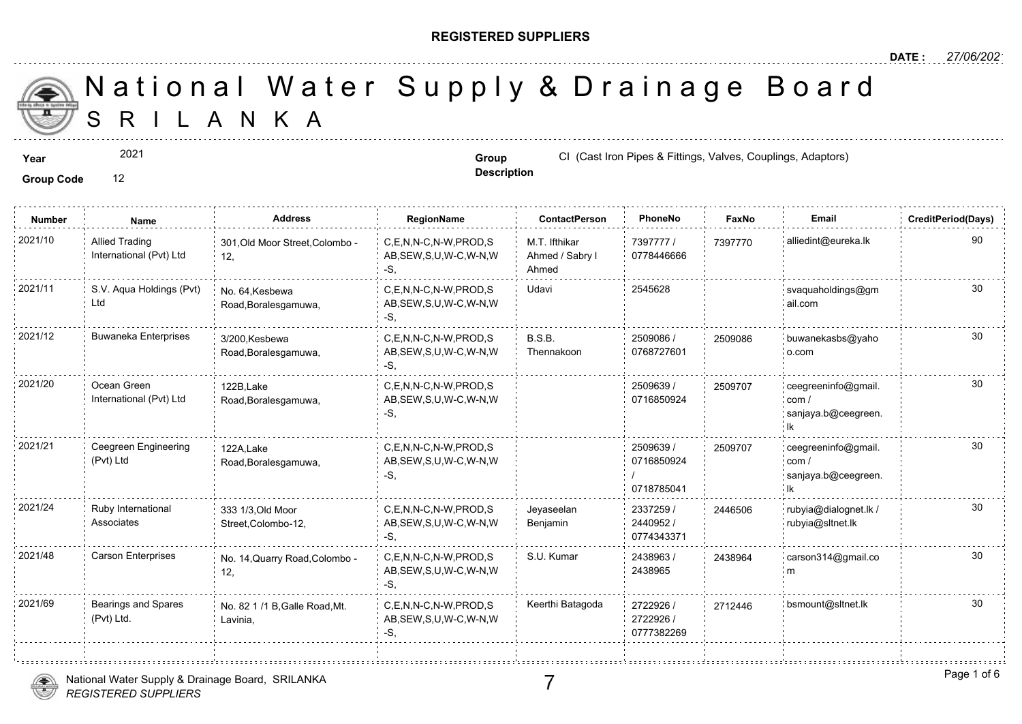### **REGISTERED SUPPLIERS**

**Description**

A N K A National Water Supply & Drainage

**Year Group CI** (Cast Iron Pipes & Fittings, Valves, Couplings, Adves, Couplings, Adves, CI (Cast Iron Pipes & Fittings, Valves,

**Group Code** 12

2021

**Number Name Address RegionName ContactPerson PhoneNo FaxNo Email CreditPeriod(Days)** 7397777 / 73977 0778446666 M.T. Ifthikar Ahmed / Sabry l Ahmed C,E,N,N-C,N-W,PROD,S AB,SEW,S,U,W-C,W-N,W -S, 2021/10 Allied Trading 301,Old Moor Street,Colombo - C,E,N,N-C,N-W,PROD,S M.T. Ifthikar 7397777 / 739777 12, Allied Trading International (Pvt) Ltd C,E,N,N-C,N-W,PROD,S Udavi 2545628 AB,SEW,S,U,W-C,W-N,W -S, No. 64,Kesbewa Road,Boralesgamuwa, 2021/11 S.V. Aqua Holdings (Pvt) No. 64,Kesbewa C,E,N,N-C,N-W,PROD,S Udavi 2545628 Ltd 2509086 / 0768727601 B.S.B. Thennakoon 2021/12 Buwaneka Enterprises 3/200 Kesbewa C,E,N,N-C,N-W,PROD,S B.S.B. 2509086 / 250908 AB,SEW,S,U,W-C,W-N,W -S, 3/200,Kesbewa Road,Boralesgamuwa, 250908 2509639 / 0716850924 2021/20 Ocean Green 122B,Lake C,E,N,N-C,N-W,PROD,S 2509639 / 25097( AB,SEW,S,U,W-C,W-N,W -S, 122B,Lake Road,Boralesgamuwa, Ocean Green International (Pvt) Ltd 25097 2509639 / 0716850924 / 0718785041 2021/21 Ceegreen Engineering 122A,Lake C,E,N,N-C,N-W,PROD,S 2509639 (2509639 / 25097( AB,SEW,S,U,W-C,W-N,W -S, 122A,Lake Road,Boralesgamuwa, Ceegreen Engineering (Pvt) Ltd 250970 2337259 / 2440952 / 0774343371 Jeyaseelan Benjamin 2021/24 Ruby International 333 1/3,Old Moor C,E,N,N-C,N-W,PROD,S Jeyaseelan 2337259 / 24465 AB,SEW,S,U,W-C,W-N,W -S, 333 1/3,Old Moor Street,Colombo-12, Ruby International Associates 24465 2438963 / 2438965 C,E,N,N-C,N-W,PROD,S S.U. Kumar AB,SEW,S,U,W-C,W-N,W -S, 2021/48 Carson Enterprises No. 14,Quarry Road,Colombo - C,E,N,N-C,N-W,PROD,S S.U. Kumar 2438963 / 243896 12, 243896 2722926 / 27124 2722926 / 0777382269 C,E,N,N-C,N-W,PROD,S Keerthi Batagoda AB,SEW,S,U,W-C,W-N,W -S, 2021/69 Bearings and Spares No. 82 1 /1 B,Galle Road,Mt. C,E,N,N-C,N-W,PROD,S Keerthi Batagoda 2722926 / 271244 Lavinia, Bearings and Spares (Pvt) Ltd.

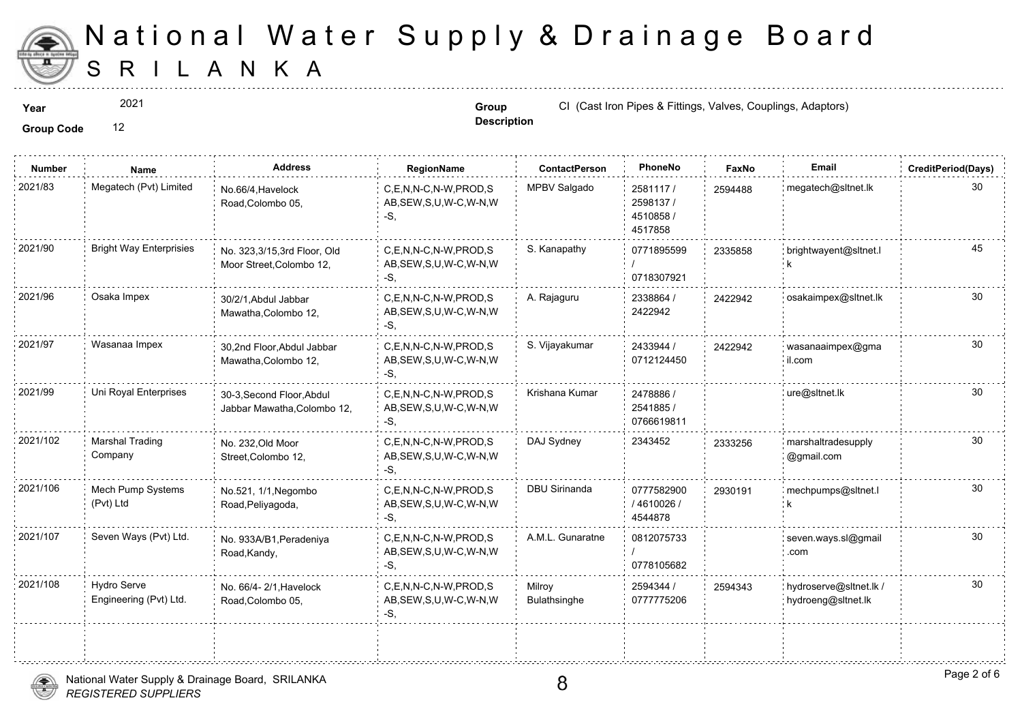

2021

**Description**

**Year CI** (Cast Iron Pipes & Fittings, Valves, Couplings, Adves, C<sub>op</sub> CI (Cast Iron Pipes & Fittings, Valves,

| <b>Number</b> | Name                                         | <b>Address</b>                                           | RegionName                                                   | <b>ContactPerson</b>   | PhoneNo                                       | Faxl   |
|---------------|----------------------------------------------|----------------------------------------------------------|--------------------------------------------------------------|------------------------|-----------------------------------------------|--------|
| 2021/83       | Megatech (Pvt) Limited                       | No.66/4, Havelock<br>Road, Colombo 05,                   | C.E.N.N-C.N-W.PROD.S<br>AB, SEW, S, U, W-C, W-N, W<br>-S.    | MPBV Salgado           | 2581117/<br>2598137 /<br>4510858 /<br>4517858 | 259448 |
| 2021/90       | <b>Bright Way Enterprisies</b>               | No. 323,3/15,3rd Floor, Old<br>Moor Street, Colombo 12,  | C,E,N,N-C,N-W,PROD,S<br>AB, SEW, S, U, W-C, W-N, W<br>-S,    | S. Kanapathy           | 0771895599<br>0718307921                      | 233585 |
| 2021/96       | Osaka Impex                                  | 30/2/1, Abdul Jabbar<br>Mawatha, Colombo 12,             | C,E,N,N-C,N-W,PROD,S<br>AB, SEW, S, U, W-C, W-N, W<br>-S,    | A. Rajaguru            | 2338864 /<br>2422942                          | 242294 |
| 2021/97       | Wasanaa Impex                                | 30,2nd Floor, Abdul Jabbar<br>Mawatha, Colombo 12,       | C.E.N.N-C.N-W.PROD.S<br>AB, SEW, S, U, W-C, W-N, W<br>-S.    | S. Vijayakumar         | 2433944 /<br>0712124450                       | 242294 |
| 2021/99       | Uni Royal Enterprises                        | 30-3, Second Floor, Abdul<br>Jabbar Mawatha, Colombo 12, | C.E.N.N-C.N-W.PROD.S<br>AB, SEW, S, U, W-C, W-N, W<br>-S.    | Krishana Kumar         | 2478886 /<br>2541885 /<br>0766619811          |        |
| 2021/102      | <b>Marshal Trading</b><br>Company            | No. 232, Old Moor<br>Street, Colombo 12,                 | C,E,N,N-C,N-W,PROD,S<br>AB, SEW, S, U, W-C, W-N, W<br>$-S$ . | DAJ Sydney             | 2343452                                       | 233325 |
| 2021/106      | Mech Pump Systems<br>(Pvt) Ltd               | No.521, 1/1, Negombo<br>Road, Peliyagoda,                | C.E.N.N-C.N-W.PROD.S<br>AB, SEW, S, U, W-C, W-N, W<br>$-S$ . | <b>DBU Sirinanda</b>   | 0777582900<br>/4610026/<br>4544878            | 293019 |
| 2021/107      | Seven Ways (Pvt) Ltd.                        | No. 933A/B1, Peradeniya<br>Road, Kandy,                  | C.E.N.N-C.N-W.PROD.S<br>AB, SEW, S, U, W-C, W-N, W<br>-S.    | A.M.L. Gunaratne       | 0812075733<br>0778105682                      |        |
| 2021/108      | <b>Hydro Serve</b><br>Engineering (Pvt) Ltd. | No. 66/4- 2/1, Havelock<br>Road, Colombo 05,             | C.E.N.N-C.N-W.PROD.S<br>AB, SEW, S, U, W-C, W-N, W<br>-S.    | Milroy<br>Bulathsinghe | 2594344 /<br>0777775206                       | 259434 |
|               |                                              |                                                          |                                                              |                        |                                               |        |

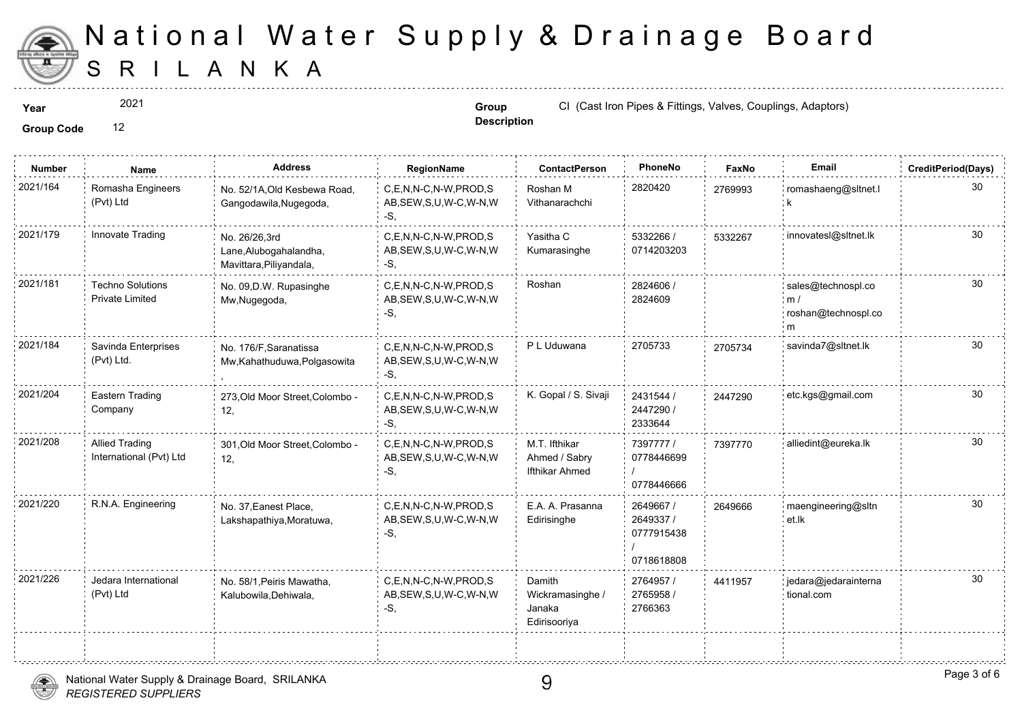

2021

**Description**

**Year Group CI** (Cast Iron Pipes & Fittings, Valves, Couplings, Adves, Couplings, Adves, Couplings, Adves, Couplings, Adves,

| <b>Number</b> | Name                                              | <b>Address</b>                                                     | <b>RegionName</b>                                            | <b>ContactPerson</b>                                 | PhoneNo                                            | Faxl   |
|---------------|---------------------------------------------------|--------------------------------------------------------------------|--------------------------------------------------------------|------------------------------------------------------|----------------------------------------------------|--------|
| 2021/164      | Romasha Engineers<br>(Pvt) Ltd                    | No. 52/1A, Old Kesbewa Road,<br>Gangodawila, Nugegoda,             | C,E,N,N-C,N-W,PROD,S<br>AB, SEW, S, U, W-C, W-N, W<br>-S.    | Roshan M<br>Vithanarachchi                           | 2820420                                            | 276999 |
| 2021/179      | Innovate Trading                                  | No. 26/26,3rd<br>Lane, Alubogahalandha,<br>Mavittara, Piliyandala, | C,E,N,N-C,N-W,PROD,S<br>AB, SEW, S, U, W-C, W-N, W<br>-S.    | Yasitha C<br>Kumarasinghe                            | 5332266 /<br>0714203203                            | 533226 |
| 2021/181      | <b>Techno Solutions</b><br><b>Private Limited</b> | No. 09, D.W. Rupasinghe<br>Mw, Nugegoda,                           | C,E,N,N-C,N-W,PROD,S<br>AB, SEW, S, U, W-C, W-N, W<br>-S.    | Roshan                                               | 2824606 /<br>2824609                               |        |
| 2021/184      | Savinda Enterprises<br>(Pvt) Ltd.                 | No. 176/F, Saranatissa<br>Mw, Kahathuduwa, Polgasowita             | C,E,N,N-C,N-W,PROD,S<br>AB, SEW, S, U, W-C, W-N, W<br>-S,    | P L Uduwana                                          | 2705733                                            | 270573 |
| 2021/204      | Eastern Trading<br>Company                        | 273, Old Moor Street, Colombo -<br>12,                             | C,E,N,N-C,N-W,PROD,S<br>AB, SEW, S, U, W-C, W-N, W<br>-S,    | K. Gopal / S. Sivaji                                 | 2431544 /<br>2447290 /<br>2333644                  | 244729 |
| 2021/208      | <b>Allied Trading</b><br>International (Pvt) Ltd  | 301, Old Moor Street, Colombo -<br>12,                             | C,E,N,N-C,N-W,PROD,S<br>AB, SEW, S, U, W-C, W-N, W<br>-S,    | M.T. Ifthikar<br>Ahmed / Sabry<br>Ifthikar Ahmed     | 7397777 /<br>0778446699<br>0778446666              | 739777 |
| 2021/220      | R.N.A. Engineering                                | No. 37, Eanest Place,<br>Lakshapathiya, Moratuwa,                  | C,E,N,N-C,N-W,PROD,S<br>AB, SEW, S, U, W-C, W-N, W<br>-S,    | E.A. A. Prasanna<br>Edirisinghe                      | 2649667 /<br>2649337 /<br>0777915438<br>0718618808 | 264966 |
| 2021/226      | Jedara International<br>(Pvt) Ltd                 | No. 58/1, Peiris Mawatha,<br>Kalubowila, Dehiwala,                 | C.E.N.N-C.N-W.PROD.S<br>AB, SEW, S, U, W-C, W-N, W<br>$-S$ , | Damith<br>Wickramasinghe /<br>Janaka<br>Edirisooriya | 2764957 /<br>2765958 /<br>2766363                  | 441195 |
|               |                                                   |                                                                    |                                                              |                                                      |                                                    |        |

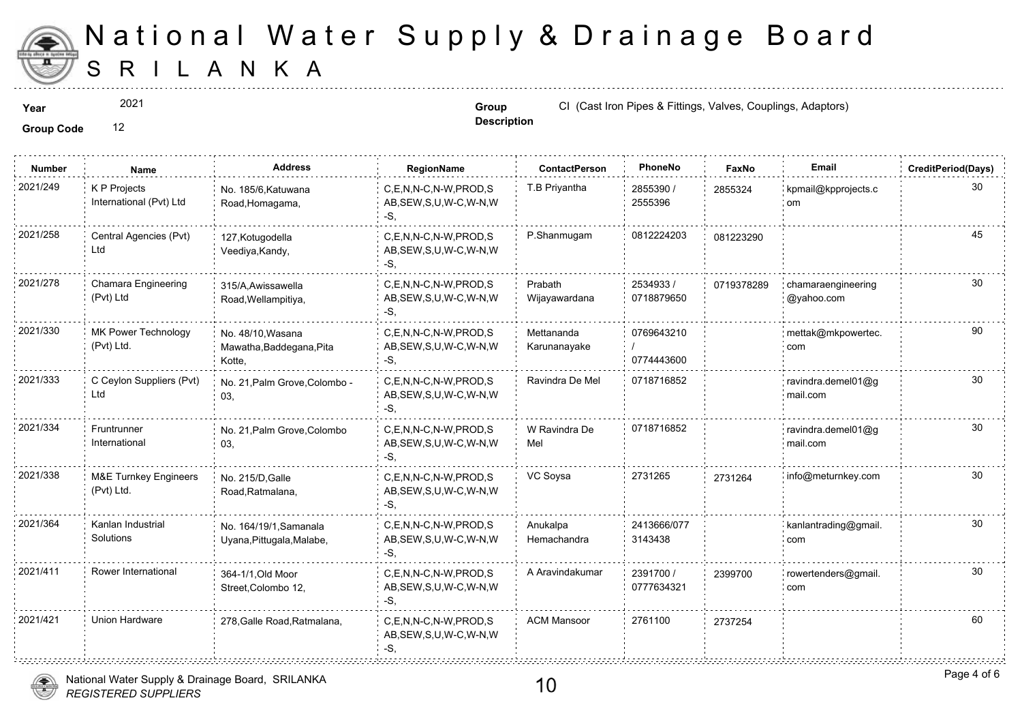

2021

**Description**

**Year Group CI** (Cast Iron Pipes & Fittings, Valves, Couplings, Adves, Couplings, Adves, CI (Cast Iron Pipes & Fittings, Valves,

**Group Code** 12

| <b>Number</b> | Name                                           | Address                                                 | RegionName                                                   | <b>ContactPerson</b>       | PhoneNo                  | Faxl   |
|---------------|------------------------------------------------|---------------------------------------------------------|--------------------------------------------------------------|----------------------------|--------------------------|--------|
| 2021/249      | K P Projects<br>International (Pvt) Ltd        | No. 185/6, Katuwana<br>Road, Homagama,                  | C,E,N,N-C,N-W,PROD,S<br>AB, SEW, S, U, W-C, W-N, W<br>-S.    | T.B Priyantha              | 2855390 /<br>2555396     | 285532 |
| 2021/258      | Central Agencies (Pvt)<br>Ltd                  | 127, Kotugodella<br>Veediya, Kandy,                     | C,E,N,N-C,N-W,PROD,S<br>AB, SEW, S, U, W-C, W-N, W<br>-S.    | P.Shanmugam                | 0812224203               | 081223 |
| 2021/278      | Chamara Engineering<br>(Pvt) Ltd               | 315/A, Awissawella<br>Road, Wellampitiya,               | C,E,N,N-C,N-W,PROD,S<br>AB, SEW, S, U, W-C, W-N, W<br>-S.    | Prabath<br>Wijayawardana   | 2534933 /<br>0718879650  | 071937 |
| 2021/330      | MK Power Technology<br>(Pvt) Ltd.              | No. 48/10, Wasana<br>Mawatha, Baddegana, Pita<br>Kotte, | C.E.N.N-C.N-W.PROD.S<br>AB, SEW, S, U, W-C, W-N, W<br>$-S$ . | Mettananda<br>Karunanayake | 0769643210<br>0774443600 |        |
| 2021/333      | C Ceylon Suppliers (Pvt)<br>Ltd                | No. 21, Palm Grove, Colombo -<br>03,                    | C,E,N,N-C,N-W,PROD,S<br>AB, SEW, S, U, W-C, W-N, W<br>$-S$ . | Ravindra De Mel            | 0718716852               |        |
| 2021/334      | Fruntrunner<br>International                   | No. 21, Palm Grove, Colombo<br>03.                      | C.E.N.N-C.N-W.PROD.S<br>AB, SEW, S, U, W-C, W-N, W<br>$-S$ . | W Ravindra De<br>Mel       | 0718716852               |        |
| 2021/338      | <b>M&amp;E Turnkey Engineers</b><br>(Pvt) Ltd. | No. 215/D, Galle<br>Road, Ratmalana,                    | C,E,N,N-C,N-W,PROD,S<br>AB, SEW, S, U, W-C, W-N, W<br>-S.    | VC Soysa                   | 2731265                  | 273126 |
| 2021/364      | Kanlan Industrial<br>Solutions                 | No. 164/19/1, Samanala<br>Uyana, Pittugala, Malabe,     | C,E,N,N-C,N-W,PROD,S<br>AB, SEW, S, U, W-C, W-N, W<br>$-S$ . | Anukalpa<br>Hemachandra    | 2413666/077<br>3143438   |        |
| 2021/411      | Rower International                            | 364-1/1, Old Moor<br>Street, Colombo 12,                | C,E,N,N-C,N-W,PROD,S<br>AB, SEW, S, U, W-C, W-N, W<br>-S.    | A Aravindakumar            | 2391700 /<br>0777634321  | 239970 |
| 2021/421      | Union Hardware                                 | 278, Galle Road, Ratmalana,                             | C.E.N.N-C.N-W.PROD.S<br>AB, SEW, S, U, W-C, W-N, W<br>-S.    | <b>ACM Mansoor</b>         | 2761100                  | 273725 |



10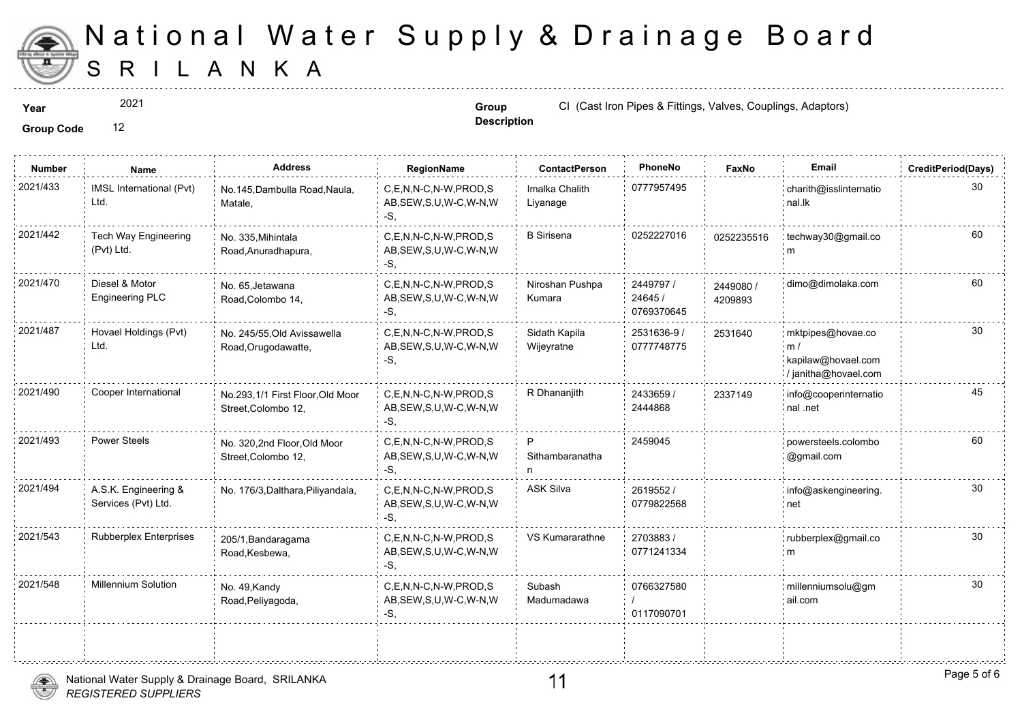

2021

**Description**

**Year Group CI** (Cast Iron Pipes & Fittings, Valves, Couplings, Adves, Couplings, Adves, Couplings, Adves, Couplings, Adves,

| <b>Number</b> | Name                                        | <b>Address</b>                                          | RegionName                                                   | <b>ContactPerson</b>        | PhoneNo                            | Faxl             |
|---------------|---------------------------------------------|---------------------------------------------------------|--------------------------------------------------------------|-----------------------------|------------------------------------|------------------|
| 2021/433      | IMSL International (Pvt)<br>Ltd.            | No.145, Dambulla Road, Naula,<br>Matale,                | C,E,N,N-C,N-W,PROD,S<br>AB, SEW, S, U, W-C, W-N, W<br>$-S$ , | Imalka Chalith<br>Liyanage  | 0777957495                         |                  |
| 2021/442      | <b>Tech Way Engineering</b><br>(Pvt) Ltd.   | No. 335, Mihintala<br>Road, Anuradhapura,               | C.E.N.N-C.N-W.PROD.S<br>AB, SEW, S, U, W-C, W-N, W<br>$-S,$  | <b>B</b> Sirisena           | 0252227016                         | 025223           |
| 2021/470      | Diesel & Motor<br><b>Engineering PLC</b>    | No. 65, Jetawana<br>Road, Colombo 14,                   | C,E,N,N-C,N-W,PROD,S<br>AB, SEW, S, U, W-C, W-N, W<br>-S.    | Niroshan Pushpa<br>Kumara   | 2449797 /<br>24645 /<br>0769370645 | 244908<br>420989 |
| 2021/487      | Hovael Holdings (Pvt)<br>Ltd.               | No. 245/55, Old Avissawella<br>Road, Orugodawatte,      | C,E,N,N-C,N-W,PROD,S<br>AB, SEW, S, U, W-C, W-N, W<br>$-S$ . | Sidath Kapila<br>Wijeyratne | 2531636-9 /<br>0777748775          | 253164           |
| 2021/490      | Cooper International                        | No.293,1/1 First Floor, Old Moor<br>Street, Colombo 12, | C.E.N.N-C.N-W.PROD.S<br>AB, SEW, S, U, W-C, W-N, W<br>-S.    | R Dhananjith                | 2433659 /<br>2444868               | 233714           |
| 2021/493      | <b>Power Steels</b>                         | No. 320,2nd Floor,Old Moor<br>Street, Colombo 12,       | C,E,N,N-C,N-W,PROD,S<br>AB, SEW, S, U, W-C, W-N, W<br>$-S$ . | P<br>Sithambaranatha<br>n   | 2459045                            |                  |
| 2021/494      | A.S.K. Engineering &<br>Services (Pvt) Ltd. | No. 176/3, Dalthara, Piliyandala,                       | C.E.N.N-C.N-W.PROD.S<br>AB, SEW, S, U, W-C, W-N, W<br>-S,    | ASK Silva                   | 2619552/<br>0779822568             |                  |
| 2021/543      | <b>Rubberplex Enterprises</b>               | 205/1, Bandaragama<br>Road, Kesbewa,                    | C.E.N.N-C.N-W.PROD.S<br>AB, SEW, S, U, W-C, W-N, W<br>-S.    | VS Kumararathne             | 2703883/<br>0771241334             |                  |
| 2021/548      | <b>Millennium Solution</b>                  | No. 49, Kandy<br>Road, Peliyagoda,                      | C,E,N,N-C,N-W,PROD,S<br>AB, SEW, S, U, W-C, W-N, W<br>-S,    | Subash<br>Madumadawa        | 0766327580<br>0117090701           |                  |
|               |                                             |                                                         |                                                              |                             |                                    |                  |